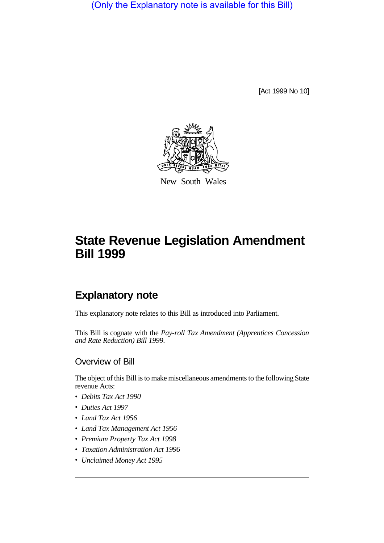(Only the Explanatory note is available for this Bill)

[Act 1999 No 10]



New South Wales

# **State Revenue Legislation Amendment Bill 1999**

# **Explanatory note**

This explanatory note relates to this Bill as introduced into Parliament.

This Bill is cognate with the *Pay-roll Tax Amendment (Apprentices Concession and Rate Reduction) Bill 1999*.

#### Overview of Bill

The object of this Bill is to make miscellaneous amendments to the following State revenue Acts:

- *Debits Tax Act 1990*
- *Duties Act 1997*
- *Land Tax Act 1956*
- *Land Tax Management Act 1956*
- *Premium Property Tax Act 1998*
- *Taxation Administration Act 1996*
- *Unclaimed Money Act 1995*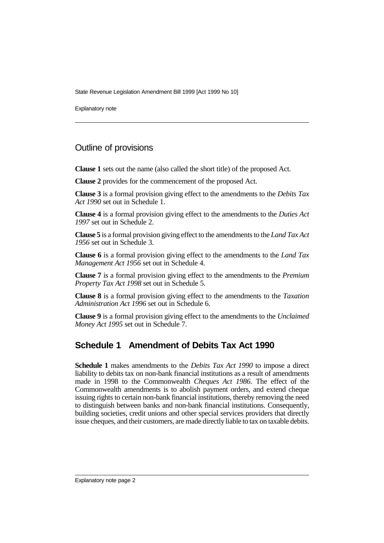Explanatory note

#### Outline of provisions

**Clause 1** sets out the name (also called the short title) of the proposed Act.

**Clause 2** provides for the commencement of the proposed Act.

**Clause 3** is a formal provision giving effect to the amendments to the *Debits Tax Act 1990* set out in Schedule 1.

**Clause 4** is a formal provision giving effect to the amendments to the *Duties Act 1997* set out in Schedule 2.

**Clause 5** is a formal provision giving effect to the amendments to the *Land Tax Act 1956* set out in Schedule 3.

**Clause 6** is a formal provision giving effect to the amendments to the *Land Tax Management Act 1956* set out in Schedule 4.

**Clause 7** is a formal provision giving effect to the amendments to the *Premium Property Tax Act 1998* set out in Schedule 5.

**Clause 8** is a formal provision giving effect to the amendments to the *Taxation Administration Act 1996* set out in Schedule 6.

**Clause 9** is a formal provision giving effect to the amendments to the *Unclaimed Money Act 1995* set out in Schedule 7.

# **Schedule 1 Amendment of Debits Tax Act 1990**

**Schedule 1** makes amendments to the *Debits Tax Act 1990* to impose a direct liability to debits tax on non-bank financial institutions as a result of amendments made in 1998 to the Commonwealth *Cheques Act 1986*. The effect of the Commonwealth amendments is to abolish payment orders, and extend cheque issuing rights to certain non-bank financial institutions, thereby removing the need to distinguish between banks and non-bank financial institutions. Consequently, building societies, credit unions and other special services providers that directly issue cheques, and their customers, are made directly liable to tax on taxable debits.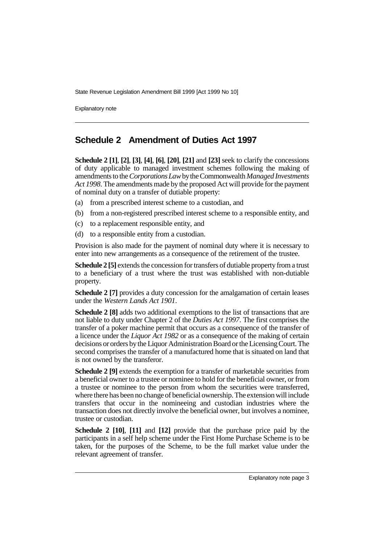Explanatory note

## **Schedule 2 Amendment of Duties Act 1997**

**Schedule 2 [1]**, **[2]**, **[3]**, **[4]**, **[6]**, **[20]**, **[21]** and **[23]** seek to clarify the concessions of duty applicable to managed investment schemes following the making of amendments to the *Corporations Law* by the Commonwealth *Managed Investments Act 1998*. The amendments made by the proposed Act will provide for the payment of nominal duty on a transfer of dutiable property:

- (a) from a prescribed interest scheme to a custodian, and
- (b) from a non-registered prescribed interest scheme to a responsible entity, and
- (c) to a replacement responsible entity, and
- (d) to a responsible entity from a custodian.

Provision is also made for the payment of nominal duty where it is necessary to enter into new arrangements as a consequence of the retirement of the trustee.

**Schedule 2 [5]** extends the concession for transfers of dutiable property from a trust to a beneficiary of a trust where the trust was established with non-dutiable property.

**Schedule 2 [7]** provides a duty concession for the amalgamation of certain leases under the *Western Lands Act 1901*.

**Schedule 2 [8]** adds two additional exemptions to the list of transactions that are not liable to duty under Chapter 2 of the *Duties Act 1997*. The first comprises the transfer of a poker machine permit that occurs as a consequence of the transfer of a licence under the *Liquor Act 1982* or as a consequence of the making of certain decisions or orders by the Liquor Administration Board or the Licensing Court. The second comprises the transfer of a manufactured home that is situated on land that is not owned by the transferor.

**Schedule 2 [9]** extends the exemption for a transfer of marketable securities from a beneficial owner to a trustee or nominee to hold for the beneficial owner, or from a trustee or nominee to the person from whom the securities were transferred, where there has been no change of beneficial ownership. The extension will include transfers that occur in the nomineeing and custodian industries where the transaction does not directly involve the beneficial owner, but involves a nominee, trustee or custodian.

**Schedule 2 [10]**, **[11]** and **[12]** provide that the purchase price paid by the participants in a self help scheme under the First Home Purchase Scheme is to be taken, for the purposes of the Scheme, to be the full market value under the relevant agreement of transfer.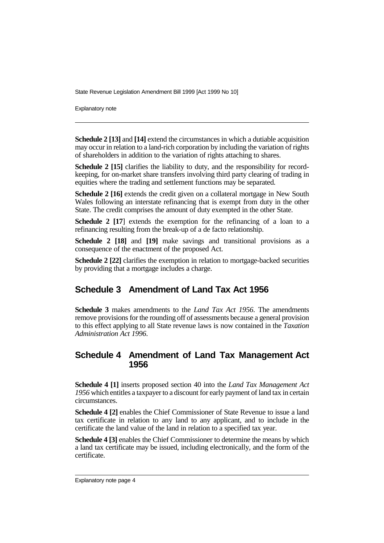Explanatory note

**Schedule 2 [13]** and **[14]** extend the circumstances in which a dutiable acquisition may occur in relation to a land-rich corporation by including the variation of rights of shareholders in addition to the variation of rights attaching to shares.

**Schedule 2 [15]** clarifies the liability to duty, and the responsibility for recordkeeping, for on-market share transfers involving third party clearing of trading in equities where the trading and settlement functions may be separated.

**Schedule 2 [16]** extends the credit given on a collateral mortgage in New South Wales following an interstate refinancing that is exempt from duty in the other State. The credit comprises the amount of duty exempted in the other State.

**Schedule 2 [17]** extends the exemption for the refinancing of a loan to a refinancing resulting from the break-up of a de facto relationship.

**Schedule 2 [18]** and **[19]** make savings and transitional provisions as a consequence of the enactment of the proposed Act.

**Schedule 2 [22]** clarifies the exemption in relation to mortgage-backed securities by providing that a mortgage includes a charge.

#### **Schedule 3 Amendment of Land Tax Act 1956**

**Schedule 3** makes amendments to the *Land Tax Act 1956*. The amendments remove provisions for the rounding off of assessments because a general provision to this effect applying to all State revenue laws is now contained in the *Taxation Administration Act 1996*.

#### **Schedule 4 Amendment of Land Tax Management Act 1956**

**Schedule 4 [1]** inserts proposed section 40 into the *Land Tax Management Act 1956* which entitles a taxpayer to a discount for early payment of land tax in certain circumstances.

**Schedule 4 [2]** enables the Chief Commissioner of State Revenue to issue a land tax certificate in relation to any land to any applicant, and to include in the certificate the land value of the land in relation to a specified tax year.

**Schedule 4 [3]** enables the Chief Commissioner to determine the means by which a land tax certificate may be issued, including electronically, and the form of the certificate.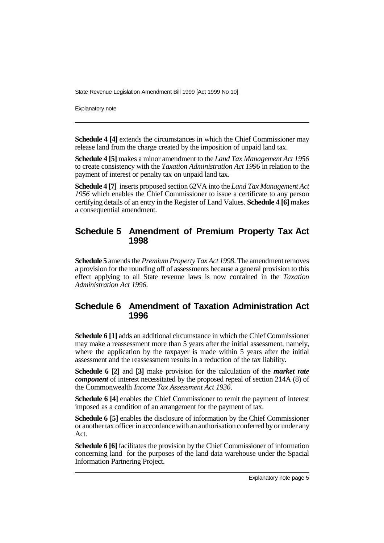Explanatory note

**Schedule 4 [4]** extends the circumstances in which the Chief Commissioner may release land from the charge created by the imposition of unpaid land tax.

**Schedule 4 [5]** makes a minor amendment to the *Land Tax Management Act 1956* to create consistency with the *Taxation Administration Act 1996* in relation to the payment of interest or penalty tax on unpaid land tax.

**Schedule 4 [7]** inserts proposed section 62VA into the *Land Tax Management Act 1956* which enables the Chief Commissioner to issue a certificate to any person certifying details of an entry in the Register of Land Values. **Schedule 4 [6]** makes a consequential amendment.

#### **Schedule 5 Amendment of Premium Property Tax Act 1998**

**Schedule 5** amends the *Premium Property Tax Act 1998*. The amendment removes a provision for the rounding off of assessments because a general provision to this effect applying to all State revenue laws is now contained in the *Taxation Administration Act 1996*.

## **Schedule 6 Amendment of Taxation Administration Act 1996**

**Schedule 6 [1]** adds an additional circumstance in which the Chief Commissioner may make a reassessment more than 5 years after the initial assessment, namely, where the application by the taxpayer is made within 5 years after the initial assessment and the reassessment results in a reduction of the tax liability.

**Schedule 6 [2]** and **[3]** make provision for the calculation of the *market rate component* of interest necessitated by the proposed repeal of section 214A (8) of the Commonwealth *Income Tax Assessment Act 1936*.

**Schedule 6 [4]** enables the Chief Commissioner to remit the payment of interest imposed as a condition of an arrangement for the payment of tax.

**Schedule 6 [5]** enables the disclosure of information by the Chief Commissioner or another tax officer in accordance with an authorisation conferred by or under any Act.

**Schedule 6 [6]** facilitates the provision by the Chief Commissioner of information concerning land for the purposes of the land data warehouse under the Spacial Information Partnering Project.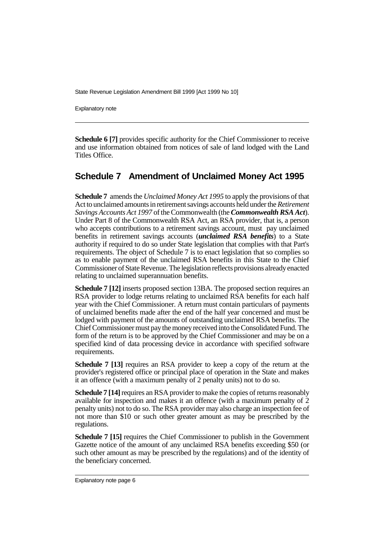Explanatory note

**Schedule 6 [7]** provides specific authority for the Chief Commissioner to receive and use information obtained from notices of sale of land lodged with the Land Titles Office.

# **Schedule 7 Amendment of Unclaimed Money Act 1995**

**Schedule 7** amends the *Unclaimed Money Act 1995* to apply the provisions of that Act to unclaimed amounts in retirement savings accounts held under the *Retirement Savings Accounts Act 1997* of the Commonwealth (the *Commonwealth RSA Act*). Under Part 8 of the Commonwealth RSA Act, an RSA provider, that is, a person who accepts contributions to a retirement savings account, must pay unclaimed benefits in retirement savings accounts (*unclaimed RSA benefits*) to a State authority if required to do so under State legislation that complies with that Part's requirements. The object of Schedule 7 is to enact legislation that so complies so as to enable payment of the unclaimed RSA benefits in this State to the Chief Commissioner of State Revenue. The legislation reflects provisions already enacted relating to unclaimed superannuation benefits.

**Schedule 7 [12]** inserts proposed section 13BA. The proposed section requires an RSA provider to lodge returns relating to unclaimed RSA benefits for each half year with the Chief Commissioner. A return must contain particulars of payments of unclaimed benefits made after the end of the half year concerned and must be lodged with payment of the amounts of outstanding unclaimed RSA benefits. The Chief Commissioner must pay the money received into the Consolidated Fund. The form of the return is to be approved by the Chief Commissioner and may be on a specified kind of data processing device in accordance with specified software requirements.

**Schedule 7 [13]** requires an RSA provider to keep a copy of the return at the provider's registered office or principal place of operation in the State and makes it an offence (with a maximum penalty of 2 penalty units) not to do so.

**Schedule 7 [14]** requires an RSA provider to make the copies of returns reasonably available for inspection and makes it an offence (with a maximum penalty of 2 penalty units) not to do so. The RSA provider may also charge an inspection fee of not more than \$10 or such other greater amount as may be prescribed by the regulations.

**Schedule 7 [15]** requires the Chief Commissioner to publish in the Government Gazette notice of the amount of any unclaimed RSA benefits exceeding \$50 (or such other amount as may be prescribed by the regulations) and of the identity of the beneficiary concerned.

Explanatory note page 6